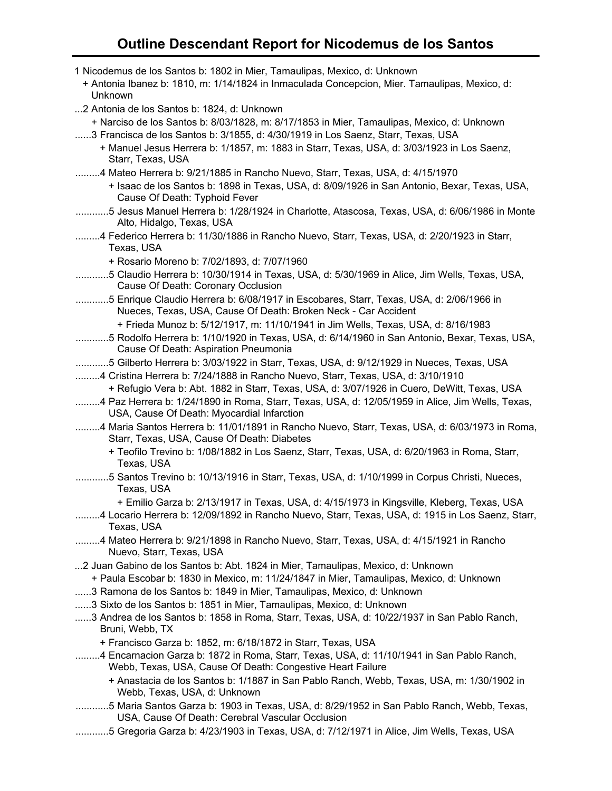## **Outline Descendant Report for Nicodemus de los Santos**

| 1 Nicodemus de los Santos b: 1802 in Mier, Tamaulipas, Mexico, d: Unknown<br>+ Antonia Ibanez b: 1810, m: 1/14/1824 in Inmaculada Concepcion, Mier. Tamaulipas, Mexico, d:<br>Unknown                                                         |
|-----------------------------------------------------------------------------------------------------------------------------------------------------------------------------------------------------------------------------------------------|
| 2 Antonia de los Santos b: 1824, d: Unknown<br>+ Narciso de los Santos b: 8/03/1828, m: 8/17/1853 in Mier, Tamaulipas, Mexico, d: Unknown                                                                                                     |
| 3 Francisca de los Santos b: 3/1855, d: 4/30/1919 in Los Saenz, Starr, Texas, USA<br>+ Manuel Jesus Herrera b: 1/1857, m: 1883 in Starr, Texas, USA, d: 3/03/1923 in Los Saenz,<br>Starr, Texas, USA                                          |
| 4 Mateo Herrera b: 9/21/1885 in Rancho Nuevo, Starr, Texas, USA, d: 4/15/1970<br>+ Isaac de los Santos b: 1898 in Texas, USA, d: 8/09/1926 in San Antonio, Bexar, Texas, USA,<br>Cause Of Death: Typhoid Fever                                |
| 5 Jesus Manuel Herrera b: 1/28/1924 in Charlotte, Atascosa, Texas, USA, d: 6/06/1986 in Monte<br>Alto, Hidalgo, Texas, USA                                                                                                                    |
| 4 Federico Herrera b: 11/30/1886 in Rancho Nuevo, Starr, Texas, USA, d: 2/20/1923 in Starr,<br>Texas, USA                                                                                                                                     |
| + Rosario Moreno b: 7/02/1893, d: 7/07/1960<br>5 Claudio Herrera b: 10/30/1914 in Texas, USA, d: 5/30/1969 in Alice, Jim Wells, Texas, USA,<br>Cause Of Death: Coronary Occlusion                                                             |
| 5 Enrique Claudio Herrera b: 6/08/1917 in Escobares, Starr, Texas, USA, d: 2/06/1966 in<br>Nueces, Texas, USA, Cause Of Death: Broken Neck - Car Accident                                                                                     |
| + Frieda Munoz b: 5/12/1917, m: 11/10/1941 in Jim Wells, Texas, USA, d: 8/16/1983<br>5 Rodolfo Herrera b: 1/10/1920 in Texas, USA, d: 6/14/1960 in San Antonio, Bexar, Texas, USA,<br>Cause Of Death: Aspiration Pneumonia                    |
| 5 Gilberto Herrera b: 3/03/1922 in Starr, Texas, USA, d: 9/12/1929 in Nueces, Texas, USA<br>4 Cristina Herrera b: 7/24/1888 in Rancho Nuevo, Starr, Texas, USA, d: 3/10/1910                                                                  |
| + Refugio Vera b: Abt. 1882 in Starr, Texas, USA, d: 3/07/1926 in Cuero, DeWitt, Texas, USA<br>4 Paz Herrera b: 1/24/1890 in Roma, Starr, Texas, USA, d: 12/05/1959 in Alice, Jim Wells, Texas,<br>USA, Cause Of Death: Myocardial Infarction |
| 4 Maria Santos Herrera b: 11/01/1891 in Rancho Nuevo, Starr, Texas, USA, d: 6/03/1973 in Roma,<br>Starr, Texas, USA, Cause Of Death: Diabetes                                                                                                 |
| + Teofilo Trevino b: 1/08/1882 in Los Saenz, Starr, Texas, USA, d: 6/20/1963 in Roma, Starr,<br>Texas, USA                                                                                                                                    |
| 5 Santos Trevino b: 10/13/1916 in Starr, Texas, USA, d: 1/10/1999 in Corpus Christi, Nueces,<br>Texas, USA                                                                                                                                    |
| + Emilio Garza b: 2/13/1917 in Texas, USA, d: 4/15/1973 in Kingsville, Kleberg, Texas, USA<br>4 Locario Herrera b: 12/09/1892 in Rancho Nuevo, Starr, Texas, USA, d: 1915 in Los Saenz, Starr,<br>Texas, USA                                  |
| 4 Mateo Herrera b: 9/21/1898 in Rancho Nuevo, Starr, Texas, USA, d: 4/15/1921 in Rancho<br>Nuevo, Starr, Texas, USA                                                                                                                           |
| 2 Juan Gabino de los Santos b: Abt. 1824 in Mier, Tamaulipas, Mexico, d: Unknown<br>+ Paula Escobar b: 1830 in Mexico, m: 11/24/1847 in Mier, Tamaulipas, Mexico, d: Unknown                                                                  |
| 3 Ramona de los Santos b: 1849 in Mier, Tamaulipas, Mexico, d: Unknown<br>3 Sixto de los Santos b: 1851 in Mier, Tamaulipas, Mexico, d: Unknown                                                                                               |
| 3 Andrea de los Santos b: 1858 in Roma, Starr, Texas, USA, d: 10/22/1937 in San Pablo Ranch,<br>Bruni, Webb, TX                                                                                                                               |
| + Francisco Garza b: 1852, m: 6/18/1872 in Starr, Texas, USA                                                                                                                                                                                  |
| 4 Encarnacion Garza b: 1872 in Roma, Starr, Texas, USA, d: 11/10/1941 in San Pablo Ranch,<br>Webb, Texas, USA, Cause Of Death: Congestive Heart Failure                                                                                       |
| + Anastacia de los Santos b: 1/1887 in San Pablo Ranch, Webb, Texas, USA, m: 1/30/1902 in<br>Webb, Texas, USA, d: Unknown                                                                                                                     |
| 5 Maria Santos Garza b: 1903 in Texas, USA, d: 8/29/1952 in San Pablo Ranch, Webb, Texas,<br>USA, Cause Of Death: Cerebral Vascular Occlusion                                                                                                 |
| 5 Gregoria Garza b: 4/23/1903 in Texas, USA, d: 7/12/1971 in Alice, Jim Wells, Texas, USA                                                                                                                                                     |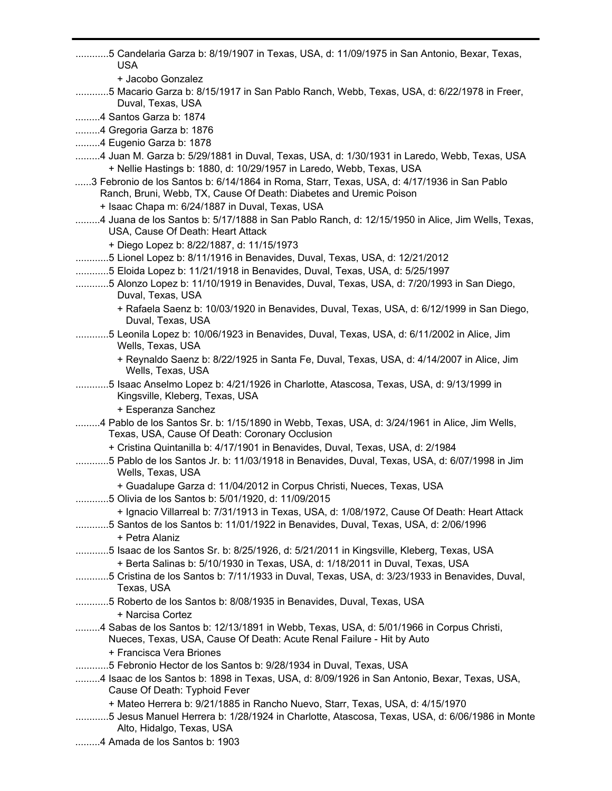............5 Candelaria Garza b: 8/19/1907 in Texas, USA, d: 11/09/1975 in San Antonio, Bexar, Texas, USA + Jacobo Gonzalez ............5 Macario Garza b: 8/15/1917 in San Pablo Ranch, Webb, Texas, USA, d: 6/22/1978 in Freer, Duval, Texas, USA .........4 Santos Garza b: 1874 .........4 Gregoria Garza b: 1876 .........4 Eugenio Garza b: 1878 .........4 Juan M. Garza b: 5/29/1881 in Duval, Texas, USA, d: 1/30/1931 in Laredo, Webb, Texas, USA + Nellie Hastings b: 1880, d: 10/29/1957 in Laredo, Webb, Texas, USA ......3 Febronio de los Santos b: 6/14/1864 in Roma, Starr, Texas, USA, d: 4/17/1936 in San Pablo Ranch, Bruni, Webb, TX, Cause Of Death: Diabetes and Uremic Poison + Isaac Chapa m: 6/24/1887 in Duval, Texas, USA .........4 Juana de los Santos b: 5/17/1888 in San Pablo Ranch, d: 12/15/1950 in Alice, Jim Wells, Texas, USA, Cause Of Death: Heart Attack + Diego Lopez b: 8/22/1887, d: 11/15/1973 ............5 Lionel Lopez b: 8/11/1916 in Benavides, Duval, Texas, USA, d: 12/21/2012 ............5 Eloida Lopez b: 11/21/1918 in Benavides, Duval, Texas, USA, d: 5/25/1997 ............5 Alonzo Lopez b: 11/10/1919 in Benavides, Duval, Texas, USA, d: 7/20/1993 in San Diego, Duval, Texas, USA + Rafaela Saenz b: 10/03/1920 in Benavides, Duval, Texas, USA, d: 6/12/1999 in San Diego, Duval, Texas, USA ............5 Leonila Lopez b: 10/06/1923 in Benavides, Duval, Texas, USA, d: 6/11/2002 in Alice, Jim Wells, Texas, USA + Reynaldo Saenz b: 8/22/1925 in Santa Fe, Duval, Texas, USA, d: 4/14/2007 in Alice, Jim Wells, Texas, USA ............5 Isaac Anselmo Lopez b: 4/21/1926 in Charlotte, Atascosa, Texas, USA, d: 9/13/1999 in Kingsville, Kleberg, Texas, USA + Esperanza Sanchez .........4 Pablo de los Santos Sr. b: 1/15/1890 in Webb, Texas, USA, d: 3/24/1961 in Alice, Jim Wells, Texas, USA, Cause Of Death: Coronary Occlusion + Cristina Quintanilla b: 4/17/1901 in Benavides, Duval, Texas, USA, d: 2/1984 ............5 Pablo de los Santos Jr. b: 11/03/1918 in Benavides, Duval, Texas, USA, d: 6/07/1998 in Jim Wells, Texas, USA + Guadalupe Garza d: 11/04/2012 in Corpus Christi, Nueces, Texas, USA ............5 Olivia de los Santos b: 5/01/1920, d: 11/09/2015 + Ignacio Villarreal b: 7/31/1913 in Texas, USA, d: 1/08/1972, Cause Of Death: Heart Attack ............5 Santos de los Santos b: 11/01/1922 in Benavides, Duval, Texas, USA, d: 2/06/1996 + Petra Alaniz ............5 Isaac de los Santos Sr. b: 8/25/1926, d: 5/21/2011 in Kingsville, Kleberg, Texas, USA + Berta Salinas b: 5/10/1930 in Texas, USA, d: 1/18/2011 in Duval, Texas, USA ............5 Cristina de los Santos b: 7/11/1933 in Duval, Texas, USA, d: 3/23/1933 in Benavides, Duval, Texas, USA ............5 Roberto de los Santos b: 8/08/1935 in Benavides, Duval, Texas, USA + Narcisa Cortez .........4 Sabas de los Santos b: 12/13/1891 in Webb, Texas, USA, d: 5/01/1966 in Corpus Christi, Nueces, Texas, USA, Cause Of Death: Acute Renal Failure - Hit by Auto + Francisca Vera Briones ............5 Febronio Hector de los Santos b: 9/28/1934 in Duval, Texas, USA .........4 Isaac de los Santos b: 1898 in Texas, USA, d: 8/09/1926 in San Antonio, Bexar, Texas, USA, Cause Of Death: Typhoid Fever + Mateo Herrera b: 9/21/1885 in Rancho Nuevo, Starr, Texas, USA, d: 4/15/1970 ............5 Jesus Manuel Herrera b: 1/28/1924 in Charlotte, Atascosa, Texas, USA, d: 6/06/1986 in Monte Alto, Hidalgo, Texas, USA .........4 Amada de los Santos b: 1903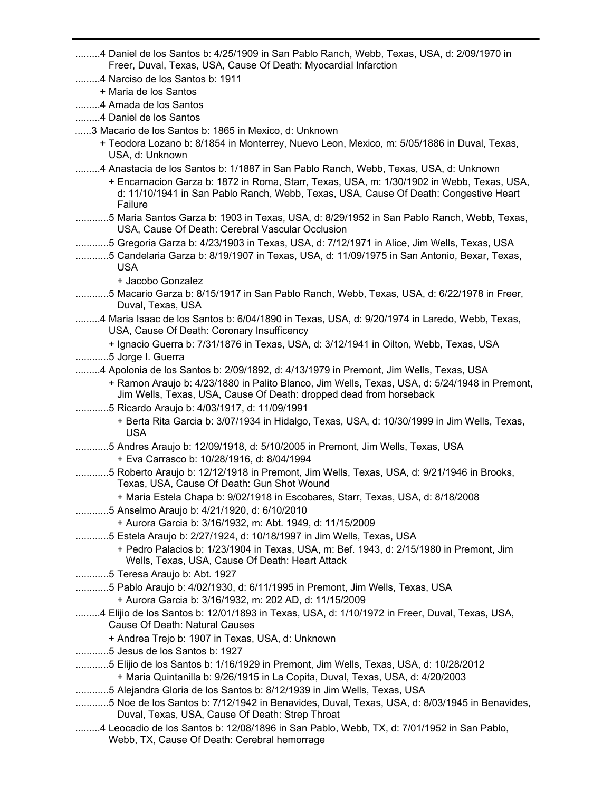.........4 Daniel de los Santos b: 4/25/1909 in San Pablo Ranch, Webb, Texas, USA, d: 2/09/1970 in Freer, Duval, Texas, USA, Cause Of Death: Myocardial Infarction .........4 Narciso de los Santos b: 1911 + Maria de los Santos .........4 Amada de los Santos .........4 Daniel de los Santos ......3 Macario de los Santos b: 1865 in Mexico, d: Unknown + Teodora Lozano b: 8/1854 in Monterrey, Nuevo Leon, Mexico, m: 5/05/1886 in Duval, Texas, USA, d: Unknown .........4 Anastacia de los Santos b: 1/1887 in San Pablo Ranch, Webb, Texas, USA, d: Unknown + Encarnacion Garza b: 1872 in Roma, Starr, Texas, USA, m: 1/30/1902 in Webb, Texas, USA, d: 11/10/1941 in San Pablo Ranch, Webb, Texas, USA, Cause Of Death: Congestive Heart Failure ............5 Maria Santos Garza b: 1903 in Texas, USA, d: 8/29/1952 in San Pablo Ranch, Webb, Texas, USA, Cause Of Death: Cerebral Vascular Occlusion ............5 Gregoria Garza b: 4/23/1903 in Texas, USA, d: 7/12/1971 in Alice, Jim Wells, Texas, USA ............5 Candelaria Garza b: 8/19/1907 in Texas, USA, d: 11/09/1975 in San Antonio, Bexar, Texas, USA + Jacobo Gonzalez ............5 Macario Garza b: 8/15/1917 in San Pablo Ranch, Webb, Texas, USA, d: 6/22/1978 in Freer, Duval, Texas, USA .........4 Maria Isaac de los Santos b: 6/04/1890 in Texas, USA, d: 9/20/1974 in Laredo, Webb, Texas, USA, Cause Of Death: Coronary Insufficency + Ignacio Guerra b: 7/31/1876 in Texas, USA, d: 3/12/1941 in Oilton, Webb, Texas, USA ............5 Jorge I. Guerra .........4 Apolonia de los Santos b: 2/09/1892, d: 4/13/1979 in Premont, Jim Wells, Texas, USA + Ramon Araujo b: 4/23/1880 in Palito Blanco, Jim Wells, Texas, USA, d: 5/24/1948 in Premont, Jim Wells, Texas, USA, Cause Of Death: dropped dead from horseback ............5 Ricardo Araujo b: 4/03/1917, d: 11/09/1991 + Berta Rita Garcia b: 3/07/1934 in Hidalgo, Texas, USA, d: 10/30/1999 in Jim Wells, Texas, USA ............5 Andres Araujo b: 12/09/1918, d: 5/10/2005 in Premont, Jim Wells, Texas, USA + Eva Carrasco b: 10/28/1916, d: 8/04/1994 ............5 Roberto Araujo b: 12/12/1918 in Premont, Jim Wells, Texas, USA, d: 9/21/1946 in Brooks, Texas, USA, Cause Of Death: Gun Shot Wound + Maria Estela Chapa b: 9/02/1918 in Escobares, Starr, Texas, USA, d: 8/18/2008 ............5 Anselmo Araujo b: 4/21/1920, d: 6/10/2010 + Aurora Garcia b: 3/16/1932, m: Abt. 1949, d: 11/15/2009 ............5 Estela Araujo b: 2/27/1924, d: 10/18/1997 in Jim Wells, Texas, USA + Pedro Palacios b: 1/23/1904 in Texas, USA, m: Bef. 1943, d: 2/15/1980 in Premont, Jim Wells, Texas, USA, Cause Of Death: Heart Attack ............5 Teresa Araujo b: Abt. 1927 ............5 Pablo Araujo b: 4/02/1930, d: 6/11/1995 in Premont, Jim Wells, Texas, USA + Aurora Garcia b: 3/16/1932, m: 202 AD, d: 11/15/2009 .........4 Elijio de los Santos b: 12/01/1893 in Texas, USA, d: 1/10/1972 in Freer, Duval, Texas, USA, Cause Of Death: Natural Causes + Andrea Trejo b: 1907 in Texas, USA, d: Unknown ............5 Jesus de los Santos b: 1927 ............5 Elijio de los Santos b: 1/16/1929 in Premont, Jim Wells, Texas, USA, d: 10/28/2012 + Maria Quintanilla b: 9/26/1915 in La Copita, Duval, Texas, USA, d: 4/20/2003 ............5 Alejandra Gloria de los Santos b: 8/12/1939 in Jim Wells, Texas, USA ............5 Noe de los Santos b: 7/12/1942 in Benavides, Duval, Texas, USA, d: 8/03/1945 in Benavides, Duval, Texas, USA, Cause Of Death: Strep Throat .........4 Leocadio de los Santos b: 12/08/1896 in San Pablo, Webb, TX, d: 7/01/1952 in San Pablo, Webb, TX, Cause Of Death: Cerebral hemorrage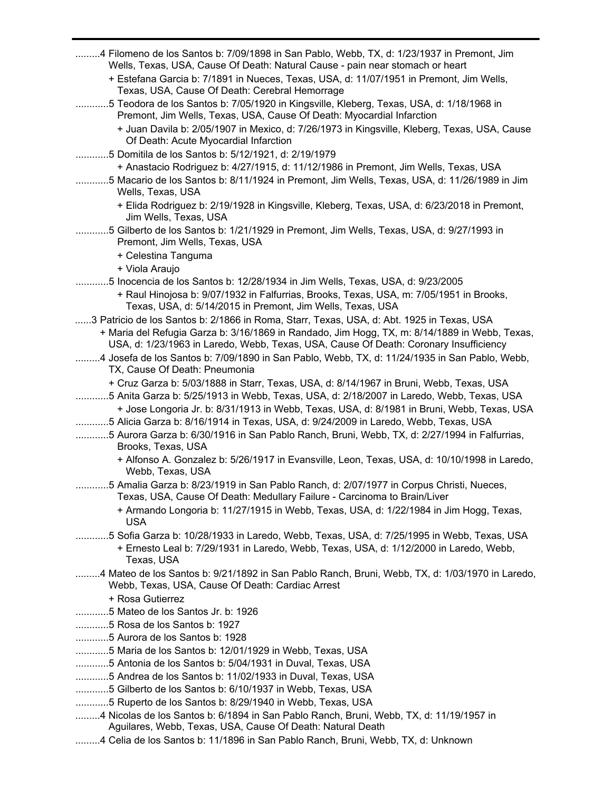| 4 Filomeno de los Santos b: 7/09/1898 in San Pablo, Webb, TX, d: 1/23/1937 in Premont, Jim<br>Wells, Texas, USA, Cause Of Death: Natural Cause - pain near stomach or heart                                                                                                                                                                                                                                                                                                                    |
|------------------------------------------------------------------------------------------------------------------------------------------------------------------------------------------------------------------------------------------------------------------------------------------------------------------------------------------------------------------------------------------------------------------------------------------------------------------------------------------------|
| + Estefana Garcia b: 7/1891 in Nueces, Texas, USA, d: 11/07/1951 in Premont, Jim Wells,                                                                                                                                                                                                                                                                                                                                                                                                        |
| Texas, USA, Cause Of Death: Cerebral Hemorrage                                                                                                                                                                                                                                                                                                                                                                                                                                                 |
| 5 Teodora de los Santos b: 7/05/1920 in Kingsville, Kleberg, Texas, USA, d: 1/18/1968 in                                                                                                                                                                                                                                                                                                                                                                                                       |
| Premont, Jim Wells, Texas, USA, Cause Of Death: Myocardial Infarction                                                                                                                                                                                                                                                                                                                                                                                                                          |
| + Juan Davila b: 2/05/1907 in Mexico, d: 7/26/1973 in Kingsville, Kleberg, Texas, USA, Cause<br>Of Death: Acute Myocardial Infarction                                                                                                                                                                                                                                                                                                                                                          |
| 5 Domitila de los Santos b: 5/12/1921, d: 2/19/1979                                                                                                                                                                                                                                                                                                                                                                                                                                            |
| + Anastacio Rodriguez b: 4/27/1915, d: 11/12/1986 in Premont, Jim Wells, Texas, USA<br>5 Macario de los Santos b: 8/11/1924 in Premont, Jim Wells, Texas, USA, d: 11/26/1989 in Jim                                                                                                                                                                                                                                                                                                            |
| Wells, Texas, USA                                                                                                                                                                                                                                                                                                                                                                                                                                                                              |
| + Elida Rodriguez b: 2/19/1928 in Kingsville, Kleberg, Texas, USA, d: 6/23/2018 in Premont,<br>Jim Wells, Texas, USA                                                                                                                                                                                                                                                                                                                                                                           |
| 5 Gilberto de los Santos b: 1/21/1929 in Premont, Jim Wells, Texas, USA, d: 9/27/1993 in<br>Premont, Jim Wells, Texas, USA                                                                                                                                                                                                                                                                                                                                                                     |
| + Celestina Tanguma                                                                                                                                                                                                                                                                                                                                                                                                                                                                            |
| + Viola Araujo                                                                                                                                                                                                                                                                                                                                                                                                                                                                                 |
| 5 Inocencia de los Santos b: 12/28/1934 in Jim Wells, Texas, USA, d: 9/23/2005                                                                                                                                                                                                                                                                                                                                                                                                                 |
| + Raul Hinojosa b: 9/07/1932 in Falfurrias, Brooks, Texas, USA, m: 7/05/1951 in Brooks,<br>Texas, USA, d: 5/14/2015 in Premont, Jim Wells, Texas, USA                                                                                                                                                                                                                                                                                                                                          |
| 3 Patricio de los Santos b: 2/1866 in Roma, Starr, Texas, USA, d: Abt. 1925 in Texas, USA                                                                                                                                                                                                                                                                                                                                                                                                      |
| + Maria del Refugia Garza b: 3/16/1869 in Randado, Jim Hogg, TX, m: 8/14/1889 in Webb, Texas,<br>USA, d: 1/23/1963 in Laredo, Webb, Texas, USA, Cause Of Death: Coronary Insufficiency                                                                                                                                                                                                                                                                                                         |
| 4 Josefa de los Santos b: 7/09/1890 in San Pablo, Webb, TX, d: 11/24/1935 in San Pablo, Webb,<br>TX, Cause Of Death: Pneumonia                                                                                                                                                                                                                                                                                                                                                                 |
| + Cruz Garza b: 5/03/1888 in Starr, Texas, USA, d: 8/14/1967 in Bruni, Webb, Texas, USA<br>5 Anita Garza b: 5/25/1913 in Webb, Texas, USA, d: 2/18/2007 in Laredo, Webb, Texas, USA<br>+ Jose Longoria Jr. b: 8/31/1913 in Webb, Texas, USA, d: 8/1981 in Bruni, Webb, Texas, USA<br>5 Alicia Garza b: 8/16/1914 in Texas, USA, d: 9/24/2009 in Laredo, Webb, Texas, USA<br>5 Aurora Garza b: 6/30/1916 in San Pablo Ranch, Bruni, Webb, TX, d: 2/27/1994 in Falfurrias,<br>Brooks, Texas, USA |
| + Alfonso A. Gonzalez b: 5/26/1917 in Evansville, Leon, Texas, USA, d: 10/10/1998 in Laredo,<br>Webb, Texas, USA                                                                                                                                                                                                                                                                                                                                                                               |
| 5 Amalia Garza b: 8/23/1919 in San Pablo Ranch, d: 2/07/1977 in Corpus Christi, Nueces,<br>Texas, USA, Cause Of Death: Medullary Failure - Carcinoma to Brain/Liver                                                                                                                                                                                                                                                                                                                            |
| + Armando Longoria b: 11/27/1915 in Webb, Texas, USA, d: 1/22/1984 in Jim Hogg, Texas,<br><b>USA</b>                                                                                                                                                                                                                                                                                                                                                                                           |
| 5 Sofia Garza b: 10/28/1933 in Laredo, Webb, Texas, USA, d: 7/25/1995 in Webb, Texas, USA<br>+ Ernesto Leal b: 7/29/1931 in Laredo, Webb, Texas, USA, d: 1/12/2000 in Laredo, Webb,<br>Texas, USA                                                                                                                                                                                                                                                                                              |
| 4 Mateo de los Santos b: 9/21/1892 in San Pablo Ranch, Bruni, Webb, TX, d: 1/03/1970 in Laredo,<br>Webb, Texas, USA, Cause Of Death: Cardiac Arrest                                                                                                                                                                                                                                                                                                                                            |
| + Rosa Gutierrez<br>5 Mateo de los Santos Jr. b: 1926                                                                                                                                                                                                                                                                                                                                                                                                                                          |
| 5 Rosa de los Santos b: 1927                                                                                                                                                                                                                                                                                                                                                                                                                                                                   |
| 5 Aurora de los Santos b: 1928                                                                                                                                                                                                                                                                                                                                                                                                                                                                 |
| 5 Maria de los Santos b: 12/01/1929 in Webb, Texas, USA                                                                                                                                                                                                                                                                                                                                                                                                                                        |
| 5 Antonia de los Santos b: 5/04/1931 in Duval, Texas, USA                                                                                                                                                                                                                                                                                                                                                                                                                                      |
| 5 Andrea de los Santos b: 11/02/1933 in Duval, Texas, USA                                                                                                                                                                                                                                                                                                                                                                                                                                      |
| 5 Gilberto de los Santos b: 6/10/1937 in Webb, Texas, USA                                                                                                                                                                                                                                                                                                                                                                                                                                      |
| 5 Ruperto de los Santos b: 8/29/1940 in Webb, Texas, USA                                                                                                                                                                                                                                                                                                                                                                                                                                       |
| 4 Nicolas de los Santos b: 6/1894 in San Pablo Ranch, Bruni, Webb, TX, d: 11/19/1957 in                                                                                                                                                                                                                                                                                                                                                                                                        |
| Aguilares, Webb, Texas, USA, Cause Of Death: Natural Death                                                                                                                                                                                                                                                                                                                                                                                                                                     |
| 4 Celia de los Santos b: 11/1896 in San Pablo Ranch, Bruni, Webb, TX, d: Unknown                                                                                                                                                                                                                                                                                                                                                                                                               |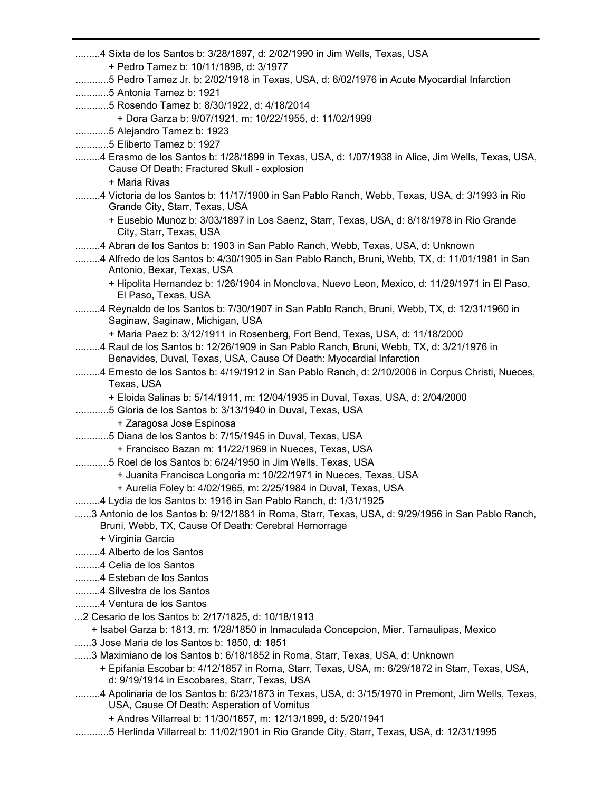.........4 Sixta de los Santos b: 3/28/1897, d: 2/02/1990 in Jim Wells, Texas, USA + Pedro Tamez b: 10/11/1898, d: 3/1977 ............5 Pedro Tamez Jr. b: 2/02/1918 in Texas, USA, d: 6/02/1976 in Acute Myocardial Infarction ............5 Antonia Tamez b: 1921 ............5 Rosendo Tamez b: 8/30/1922, d: 4/18/2014 + Dora Garza b: 9/07/1921, m: 10/22/1955, d: 11/02/1999 ............5 Alejandro Tamez b: 1923 ............5 Eliberto Tamez b: 1927 .........4 Erasmo de los Santos b: 1/28/1899 in Texas, USA, d: 1/07/1938 in Alice, Jim Wells, Texas, USA, Cause Of Death: Fractured Skull - explosion + Maria Rivas .........4 Victoria de los Santos b: 11/17/1900 in San Pablo Ranch, Webb, Texas, USA, d: 3/1993 in Rio Grande City, Starr, Texas, USA + Eusebio Munoz b: 3/03/1897 in Los Saenz, Starr, Texas, USA, d: 8/18/1978 in Rio Grande City, Starr, Texas, USA .........4 Abran de los Santos b: 1903 in San Pablo Ranch, Webb, Texas, USA, d: Unknown .........4 Alfredo de los Santos b: 4/30/1905 in San Pablo Ranch, Bruni, Webb, TX, d: 11/01/1981 in San Antonio, Bexar, Texas, USA + Hipolita Hernandez b: 1/26/1904 in Monclova, Nuevo Leon, Mexico, d: 11/29/1971 in El Paso, El Paso, Texas, USA .........4 Reynaldo de los Santos b: 7/30/1907 in San Pablo Ranch, Bruni, Webb, TX, d: 12/31/1960 in Saginaw, Saginaw, Michigan, USA + Maria Paez b: 3/12/1911 in Rosenberg, Fort Bend, Texas, USA, d: 11/18/2000 .........4 Raul de los Santos b: 12/26/1909 in San Pablo Ranch, Bruni, Webb, TX, d: 3/21/1976 in Benavides, Duval, Texas, USA, Cause Of Death: Myocardial Infarction .........4 Ernesto de los Santos b: 4/19/1912 in San Pablo Ranch, d: 2/10/2006 in Corpus Christi, Nueces, Texas, USA + Eloida Salinas b: 5/14/1911, m: 12/04/1935 in Duval, Texas, USA, d: 2/04/2000 ............5 Gloria de los Santos b: 3/13/1940 in Duval, Texas, USA + Zaragosa Jose Espinosa ............5 Diana de los Santos b: 7/15/1945 in Duval, Texas, USA + Francisco Bazan m: 11/22/1969 in Nueces, Texas, USA ............5 Roel de los Santos b: 6/24/1950 in Jim Wells, Texas, USA + Juanita Francisca Longoria m: 10/22/1971 in Nueces, Texas, USA + Aurelia Foley b: 4/02/1965, m: 2/25/1984 in Duval, Texas, USA .........4 Lydia de los Santos b: 1916 in San Pablo Ranch, d: 1/31/1925 ......3 Antonio de los Santos b: 9/12/1881 in Roma, Starr, Texas, USA, d: 9/29/1956 in San Pablo Ranch, Bruni, Webb, TX, Cause Of Death: Cerebral Hemorrage + Virginia Garcia .........4 Alberto de los Santos .........4 Celia de los Santos .........4 Esteban de los Santos .........4 Silvestra de los Santos .........4 Ventura de los Santos ...2 Cesario de los Santos b: 2/17/1825, d: 10/18/1913 + Isabel Garza b: 1813, m: 1/28/1850 in Inmaculada Concepcion, Mier. Tamaulipas, Mexico ......3 Jose Maria de los Santos b: 1850, d: 1851 ......3 Maximiano de los Santos b: 6/18/1852 in Roma, Starr, Texas, USA, d: Unknown + Epifania Escobar b: 4/12/1857 in Roma, Starr, Texas, USA, m: 6/29/1872 in Starr, Texas, USA, d: 9/19/1914 in Escobares, Starr, Texas, USA .........4 Apolinaria de los Santos b: 6/23/1873 in Texas, USA, d: 3/15/1970 in Premont, Jim Wells, Texas, USA, Cause Of Death: Asperation of Vomitus + Andres Villarreal b: 11/30/1857, m: 12/13/1899, d: 5/20/1941 ............5 Herlinda Villarreal b: 11/02/1901 in Rio Grande City, Starr, Texas, USA, d: 12/31/1995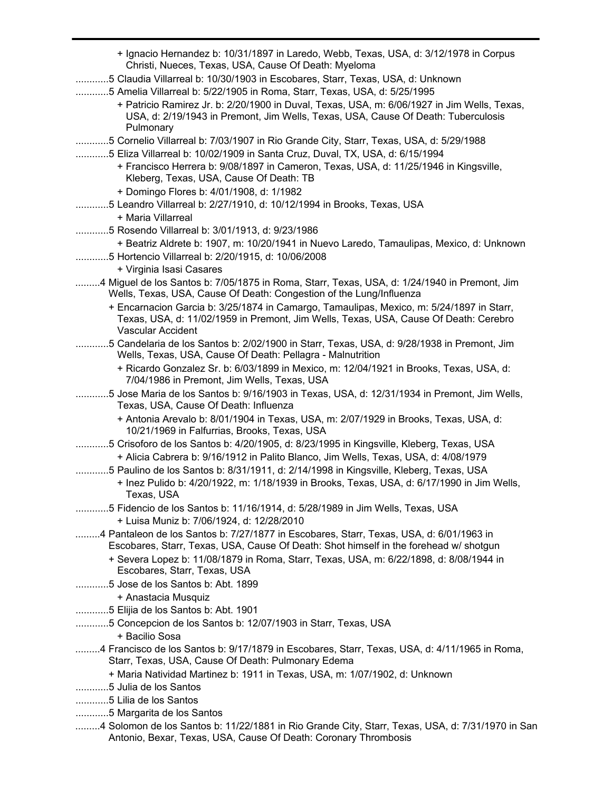| + Ignacio Hernandez b: 10/31/1897 in Laredo, Webb, Texas, USA, d: 3/12/1978 in Corpus<br>Christi, Nueces, Texas, USA, Cause Of Death: Myeloma                                    |
|----------------------------------------------------------------------------------------------------------------------------------------------------------------------------------|
|                                                                                                                                                                                  |
| 5 Claudia Villarreal b: 10/30/1903 in Escobares, Starr, Texas, USA, d: Unknown                                                                                                   |
| 5 Amelia Villarreal b: 5/22/1905 in Roma, Starr, Texas, USA, d: 5/25/1995<br>+ Patricio Ramirez Jr. b: 2/20/1900 in Duval, Texas, USA, m: 6/06/1927 in Jim Wells, Texas,         |
| USA, d: 2/19/1943 in Premont, Jim Wells, Texas, USA, Cause Of Death: Tuberculosis                                                                                                |
| Pulmonary                                                                                                                                                                        |
| 5 Cornelio Villarreal b: 7/03/1907 in Rio Grande City, Starr, Texas, USA, d: 5/29/1988                                                                                           |
| 5 Eliza Villarreal b: 10/02/1909 in Santa Cruz, Duval, TX, USA, d: 6/15/1994                                                                                                     |
| + Francisco Herrera b: 9/08/1897 in Cameron, Texas, USA, d: 11/25/1946 in Kingsville,                                                                                            |
| Kleberg, Texas, USA, Cause Of Death: TB                                                                                                                                          |
| + Domingo Flores b: 4/01/1908, d: 1/1982                                                                                                                                         |
| 5 Leandro Villarreal b: 2/27/1910, d: 10/12/1994 in Brooks, Texas, USA                                                                                                           |
| + Maria Villarreal                                                                                                                                                               |
| 5 Rosendo Villarreal b: 3/01/1913, d: 9/23/1986                                                                                                                                  |
| + Beatriz Aldrete b: 1907, m: 10/20/1941 in Nuevo Laredo, Tamaulipas, Mexico, d: Unknown                                                                                         |
| 5 Hortencio Villarreal b: 2/20/1915, d: 10/06/2008                                                                                                                               |
| + Virginia Isasi Casares                                                                                                                                                         |
| 4 Miguel de los Santos b: 7/05/1875 in Roma, Starr, Texas, USA, d: 1/24/1940 in Premont, Jim<br>Wells, Texas, USA, Cause Of Death: Congestion of the Lung/Influenza              |
| + Encarnacion Garcia b: 3/25/1874 in Camargo, Tamaulipas, Mexico, m: 5/24/1897 in Starr,                                                                                         |
| Texas, USA, d: 11/02/1959 in Premont, Jim Wells, Texas, USA, Cause Of Death: Cerebro                                                                                             |
| Vascular Accident                                                                                                                                                                |
| 5 Candelaria de los Santos b: 2/02/1900 in Starr, Texas, USA, d: 9/28/1938 in Premont, Jim<br>Wells, Texas, USA, Cause Of Death: Pellagra - Malnutrition                         |
| + Ricardo Gonzalez Sr. b: 6/03/1899 in Mexico, m: 12/04/1921 in Brooks, Texas, USA, d:<br>7/04/1986 in Premont, Jim Wells, Texas, USA                                            |
| 5 Jose Maria de los Santos b: 9/16/1903 in Texas, USA, d: 12/31/1934 in Premont, Jim Wells,<br>Texas, USA, Cause Of Death: Influenza                                             |
| + Antonia Arevalo b: 8/01/1904 in Texas, USA, m: 2/07/1929 in Brooks, Texas, USA, d:<br>10/21/1969 in Falfurrias, Brooks, Texas, USA                                             |
| 5 Crisoforo de los Santos b: 4/20/1905, d: 8/23/1995 in Kingsville, Kleberg, Texas, USA                                                                                          |
| + Alicia Cabrera b: 9/16/1912 in Palito Blanco, Jim Wells, Texas, USA, d: 4/08/1979                                                                                              |
| 5 Paulino de los Santos b: 8/31/1911, d: 2/14/1998 in Kingsville, Kleberg, Texas, USA                                                                                            |
| + Inez Pulido b: 4/20/1922, m: 1/18/1939 in Brooks, Texas, USA, d: 6/17/1990 in Jim Wells,                                                                                       |
| Texas. USA                                                                                                                                                                       |
| 5 Fidencio de los Santos b: 11/16/1914, d: 5/28/1989 in Jim Wells, Texas, USA                                                                                                    |
| + Luisa Muniz b: 7/06/1924, d: 12/28/2010                                                                                                                                        |
| 4 Pantaleon de los Santos b: 7/27/1877 in Escobares, Starr, Texas, USA, d: 6/01/1963 in<br>Escobares, Starr, Texas, USA, Cause Of Death: Shot himself in the forehead w/ shotgun |
| + Severa Lopez b: 11/08/1879 in Roma, Starr, Texas, USA, m: 6/22/1898, d: 8/08/1944 in<br>Escobares, Starr, Texas, USA                                                           |
| 5 Jose de los Santos b: Abt. 1899                                                                                                                                                |
| + Anastacia Musquiz                                                                                                                                                              |
| 5 Elijia de los Santos b: Abt. 1901                                                                                                                                              |
| 5 Concepcion de los Santos b: 12/07/1903 in Starr, Texas, USA                                                                                                                    |
| + Bacilio Sosa                                                                                                                                                                   |
| 4 Francisco de los Santos b: 9/17/1879 in Escobares, Starr, Texas, USA, d: 4/11/1965 in Roma,<br>Starr, Texas, USA, Cause Of Death: Pulmonary Edema                              |
| + Maria Natividad Martinez b: 1911 in Texas, USA, m: 1/07/1902, d: Unknown                                                                                                       |
| 5 Julia de los Santos                                                                                                                                                            |
| 5 Lilia de los Santos                                                                                                                                                            |
| 5 Margarita de los Santos                                                                                                                                                        |
| 4 Solomon de los Santos b: 11/22/1881 in Rio Grande City, Starr, Texas, USA, d: 7/31/1970 in San<br>Antonio, Bexar, Texas, USA, Cause Of Death: Coronary Thrombosis              |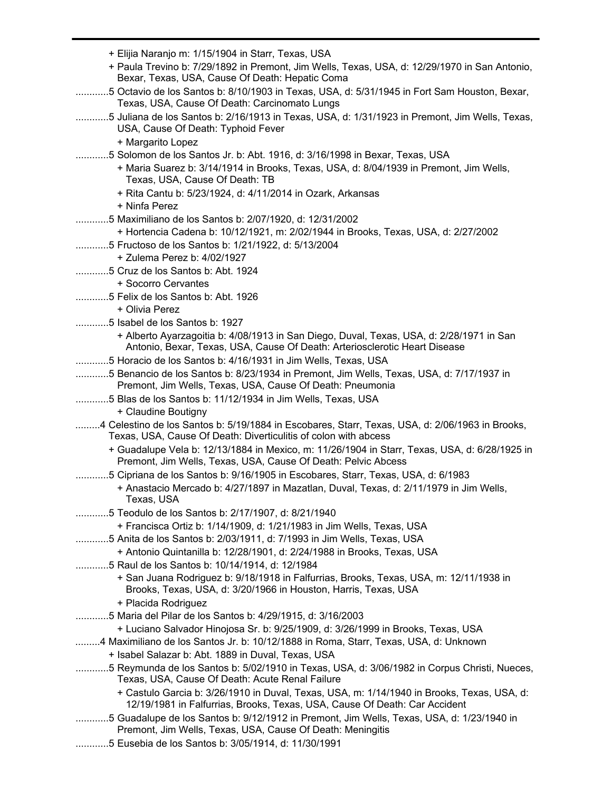|                                    | + Elijia Naranjo m: 1/15/1904 in Starr, Texas, USA                                                                                                                       |
|------------------------------------|--------------------------------------------------------------------------------------------------------------------------------------------------------------------------|
|                                    | + Paula Trevino b: 7/29/1892 in Premont, Jim Wells, Texas, USA, d: 12/29/1970 in San Antonio,<br>Bexar, Texas, USA, Cause Of Death: Hepatic Coma                         |
|                                    | 5 Octavio de los Santos b: 8/10/1903 in Texas, USA, d: 5/31/1945 in Fort Sam Houston, Bexar,<br>Texas, USA, Cause Of Death: Carcinomato Lungs                            |
|                                    | 5 Juliana de los Santos b: 2/16/1913 in Texas, USA, d: 1/31/1923 in Premont, Jim Wells, Texas,<br>USA, Cause Of Death: Typhoid Fever                                     |
| + Margarito Lopez                  |                                                                                                                                                                          |
|                                    | 5 Solomon de los Santos Jr. b: Abt. 1916, d: 3/16/1998 in Bexar, Texas, USA                                                                                              |
|                                    | + Maria Suarez b: 3/14/1914 in Brooks, Texas, USA, d: 8/04/1939 in Premont, Jim Wells,<br>Texas, USA, Cause Of Death: TB                                                 |
|                                    | + Rita Cantu b: 5/23/1924, d: 4/11/2014 in Ozark, Arkansas                                                                                                               |
| + Ninfa Perez                      |                                                                                                                                                                          |
|                                    | 5 Maximiliano de los Santos b: 2/07/1920, d: 12/31/2002                                                                                                                  |
|                                    | + Hortencia Cadena b: 10/12/1921, m: 2/02/1944 in Brooks, Texas, USA, d: 2/27/2002                                                                                       |
|                                    | 5 Fructoso de los Santos b: 1/21/1922, d: 5/13/2004                                                                                                                      |
| + Zulema Perez b: 4/02/1927        |                                                                                                                                                                          |
| 5 Cruz de los Santos b: Abt. 1924  |                                                                                                                                                                          |
| + Socorro Cervantes                |                                                                                                                                                                          |
| 5 Felix de los Santos b: Abt. 1926 |                                                                                                                                                                          |
| + Olivia Perez                     |                                                                                                                                                                          |
| 5 Isabel de los Santos b: 1927     |                                                                                                                                                                          |
|                                    | + Alberto Ayarzagoitia b: 4/08/1913 in San Diego, Duval, Texas, USA, d: 2/28/1971 in San<br>Antonio, Bexar, Texas, USA, Cause Of Death: Arteriosclerotic Heart Disease   |
|                                    | 5 Horacio de los Santos b: 4/16/1931 in Jim Wells, Texas, USA                                                                                                            |
|                                    | 5 Benancio de los Santos b: 8/23/1934 in Premont, Jim Wells, Texas, USA, d: 7/17/1937 in<br>Premont, Jim Wells, Texas, USA, Cause Of Death: Pneumonia                    |
|                                    | 5 Blas de los Santos b: 11/12/1934 in Jim Wells, Texas, USA                                                                                                              |
| + Claudine Boutigny                |                                                                                                                                                                          |
|                                    | 4 Celestino de los Santos b: 5/19/1884 in Escobares, Starr, Texas, USA, d: 2/06/1963 in Brooks,<br>Texas, USA, Cause Of Death: Diverticulitis of colon with abcess       |
|                                    | + Guadalupe Vela b: 12/13/1884 in Mexico, m: 11/26/1904 in Starr, Texas, USA, d: 6/28/1925 in<br>Premont, Jim Wells, Texas, USA, Cause Of Death: Pelvic Abcess           |
|                                    | 5 Cipriana de los Santos b: 9/16/1905 in Escobares, Starr, Texas, USA, d: 6/1983                                                                                         |
| Texas, USA                         | + Anastacio Mercado b: 4/27/1897 in Mazatlan, Duval, Texas, d: 2/11/1979 in Jim Wells,                                                                                   |
|                                    | 5 Teodulo de los Santos b: 2/17/1907, d: 8/21/1940                                                                                                                       |
|                                    | + Francisca Ortiz b: 1/14/1909, d: 1/21/1983 in Jim Wells, Texas, USA                                                                                                    |
|                                    | 5 Anita de los Santos b: 2/03/1911, d: 7/1993 in Jim Wells, Texas, USA                                                                                                   |
|                                    | + Antonio Quintanilla b: 12/28/1901, d: 2/24/1988 in Brooks, Texas, USA                                                                                                  |
|                                    | 5 Raul de los Santos b: 10/14/1914, d: 12/1984                                                                                                                           |
|                                    | + San Juana Rodriguez b: 9/18/1918 in Falfurrias, Brooks, Texas, USA, m: 12/11/1938 in<br>Brooks, Texas, USA, d: 3/20/1966 in Houston, Harris, Texas, USA                |
| + Placida Rodriguez                |                                                                                                                                                                          |
|                                    | 5 Maria del Pilar de los Santos b: 4/29/1915, d: 3/16/2003                                                                                                               |
|                                    | + Luciano Salvador Hinojosa Sr. b: 9/25/1909, d: 3/26/1999 in Brooks, Texas, USA                                                                                         |
|                                    | 4 Maximiliano de los Santos Jr. b: 10/12/1888 in Roma, Starr, Texas, USA, d: Unknown                                                                                     |
|                                    | + Isabel Salazar b: Abt. 1889 in Duval, Texas, USA                                                                                                                       |
|                                    | 5 Reymunda de los Santos b: 5/02/1910 in Texas, USA, d: 3/06/1982 in Corpus Christi, Nueces,<br>Texas, USA, Cause Of Death: Acute Renal Failure                          |
|                                    | + Castulo Garcia b: 3/26/1910 in Duval, Texas, USA, m: 1/14/1940 in Brooks, Texas, USA, d:<br>12/19/1981 in Falfurrias, Brooks, Texas, USA, Cause Of Death: Car Accident |
|                                    | 5 Guadalupe de los Santos b: 9/12/1912 in Premont, Jim Wells, Texas, USA, d: 1/23/1940 in<br>Premont, Jim Wells, Texas, USA, Cause Of Death: Meningitis                  |
|                                    | 5 Eusebia de los Santos b: 3/05/1914, d: 11/30/1991                                                                                                                      |
|                                    |                                                                                                                                                                          |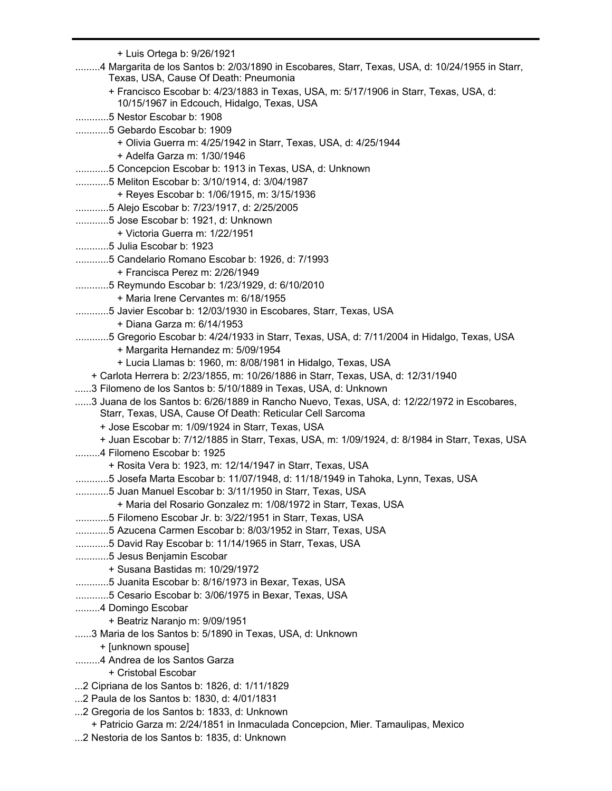+ Luis Ortega b: 9/26/1921 .........4 Margarita de los Santos b: 2/03/1890 in Escobares, Starr, Texas, USA, d: 10/24/1955 in Starr, Texas, USA, Cause Of Death: Pneumonia + Francisco Escobar b: 4/23/1883 in Texas, USA, m: 5/17/1906 in Starr, Texas, USA, d: 10/15/1967 in Edcouch, Hidalgo, Texas, USA ............5 Nestor Escobar b: 1908 ............5 Gebardo Escobar b: 1909 + Olivia Guerra m: 4/25/1942 in Starr, Texas, USA, d: 4/25/1944 + Adelfa Garza m: 1/30/1946 ............5 Concepcion Escobar b: 1913 in Texas, USA, d: Unknown ............5 Meliton Escobar b: 3/10/1914, d: 3/04/1987 + Reyes Escobar b: 1/06/1915, m: 3/15/1936 ............5 Alejo Escobar b: 7/23/1917, d: 2/25/2005 ............5 Jose Escobar b: 1921, d: Unknown + Victoria Guerra m: 1/22/1951 ............5 Julia Escobar b: 1923 ............5 Candelario Romano Escobar b: 1926, d: 7/1993 + Francisca Perez m: 2/26/1949 ............5 Reymundo Escobar b: 1/23/1929, d: 6/10/2010 + Maria Irene Cervantes m: 6/18/1955 ............5 Javier Escobar b: 12/03/1930 in Escobares, Starr, Texas, USA + Diana Garza m: 6/14/1953 ............5 Gregorio Escobar b: 4/24/1933 in Starr, Texas, USA, d: 7/11/2004 in Hidalgo, Texas, USA + Margarita Hernandez m: 5/09/1954 + Lucia Llamas b: 1960, m: 8/08/1981 in Hidalgo, Texas, USA + Carlota Herrera b: 2/23/1855, m: 10/26/1886 in Starr, Texas, USA, d: 12/31/1940 ......3 Filomeno de los Santos b: 5/10/1889 in Texas, USA, d: Unknown ......3 Juana de los Santos b: 6/26/1889 in Rancho Nuevo, Texas, USA, d: 12/22/1972 in Escobares, Starr, Texas, USA, Cause Of Death: Reticular Cell Sarcoma + Jose Escobar m: 1/09/1924 in Starr, Texas, USA + Juan Escobar b: 7/12/1885 in Starr, Texas, USA, m: 1/09/1924, d: 8/1984 in Starr, Texas, USA .........4 Filomeno Escobar b: 1925 + Rosita Vera b: 1923, m: 12/14/1947 in Starr, Texas, USA ............5 Josefa Marta Escobar b: 11/07/1948, d: 11/18/1949 in Tahoka, Lynn, Texas, USA ............5 Juan Manuel Escobar b: 3/11/1950 in Starr, Texas, USA + Maria del Rosario Gonzalez m: 1/08/1972 in Starr, Texas, USA ............5 Filomeno Escobar Jr. b: 3/22/1951 in Starr, Texas, USA ............5 Azucena Carmen Escobar b: 8/03/1952 in Starr, Texas, USA ............5 David Ray Escobar b: 11/14/1965 in Starr, Texas, USA ............5 Jesus Benjamin Escobar + Susana Bastidas m: 10/29/1972 ............5 Juanita Escobar b: 8/16/1973 in Bexar, Texas, USA ............5 Cesario Escobar b: 3/06/1975 in Bexar, Texas, USA .........4 Domingo Escobar + Beatriz Naranjo m: 9/09/1951 ......3 Maria de los Santos b: 5/1890 in Texas, USA, d: Unknown + [unknown spouse] .........4 Andrea de los Santos Garza + Cristobal Escobar ...2 Cipriana de los Santos b: 1826, d: 1/11/1829 ...2 Paula de los Santos b: 1830, d: 4/01/1831 ...2 Gregoria de los Santos b: 1833, d: Unknown + Patricio Garza m: 2/24/1851 in Inmaculada Concepcion, Mier. Tamaulipas, Mexico ...2 Nestoria de los Santos b: 1835, d: Unknown